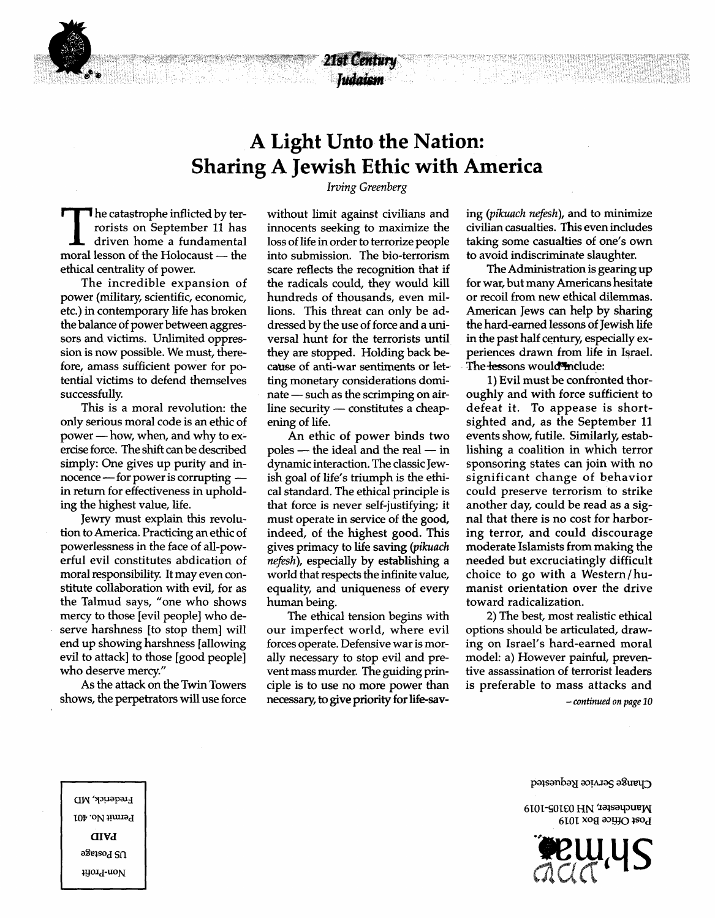## **A Light Unto the Nation: Sharing A Jewish Ethic with America** *Irving Greenberg*

21st Century Indaism

The catastrophe inflicted by terrorists on September 11 has<br>driven home a fundamental<br>moral lesson of the Holocaust — the **T** he catastrophe inflicted by terrorists on September 11 has driven home a fundamental ethical centrality of power.

The incredible expansion of power (military, scientific, economic, etc.) in contemporary life has broken the balance of power between aggressors and victims. Unlimited oppression is now possible. We must, therefore, amass sufficient power for potential victims to defend themselves successfully.

This is a moral revolution: the only serious moral code is an ethic of power — how, when, and why to exercise force. The shift can be described simply: One gives up purity and innocence — for power is corrupting in return for effectiveness in upholding the highest value, life.

Jewry must explain this revolution to America. Practicing an ethic of powerlessness in the face of all-powerful evil constitutes abdication of moral responsibility. It may even constitute collaboration with evil, for as the Talmud says, "one who shows mercy to those [evil people] who deserve harshness [to stop them] will end up showing harshness [allowing evil to attack] to those [good people] who deserve mercy."

As the attack on the Twin Towers shows, the perpetrators will use force without limit against civilians and innocents seeking to maximize the loss of life in order to terrorize people into submission. The bio-terrorism scare reflects the recognition that if the radicals could, they would kill hundreds of thousands, even millions. This threat can only be addressed by the use of force and a universal hunt for the terrorists until they are stopped. Holding back because of anti-war sentiments or letting monetary considerations dominate — such as the scrimping on airline security — constitutes a cheapening of life.

An ethic of power binds two poles — the ideal and the real — in dynamic interaction. The classic Jewish goal of life's triumph is the ethical standard. The ethical principle is that force is never self-justifying; it must operate in service of the good, indeed, of the highest good. This gives primacy to life saving *(pikuach nefesh),* especially by establishing a world that respects the infinite value, equality, and uniqueness of every human being.

The ethical tension begins with our imperfect world, where evil forces operate. Defensive war is morally necessary to stop evil and prevent mass murder. The guiding principle is to use no more power than necessary, to give priority for life-saving *{pikuach nefesh),* and to minimize civilian casualties. This even includes taking some casualties of one's own to avoid indiscriminate slaughter.

The Administration is gearing up for war, but many Americans hesitate or recoil from new ethical dilemmas. American Jews can help by sharing the hard-earned lessons of Jewish life in the past half century, especially experiences drawn from life in Israel. The lessons would include:

1) Evil must be confronted thoroughly and with force sufficient to defeat it. To appease is shortsighted and, as the September 11 events show, futile. Similarly, establishing a coalition in which terror sponsoring states can join with no significant change of behavior could preserve terrorism to strike another day, could be read as a signal that there is no cost for harboring terror, and could discourage moderate Islamists from making the needed but excruciatingly difficult choice to go with a Western/humanist orientation over the drive toward radicalization.

2) The best, most realistic ethical options should be articulated, drawing on Israel's hard-earned moral model: a) However painful, preventive assassination of terrorist leaders is preferable to mass attacks and

- *continued on page 10*



6101-SOieO HN ' Post Office Box 1019



**Hrederick, MD** Permit No. 401 **CIVA** a§eisod SU 1yord-noM